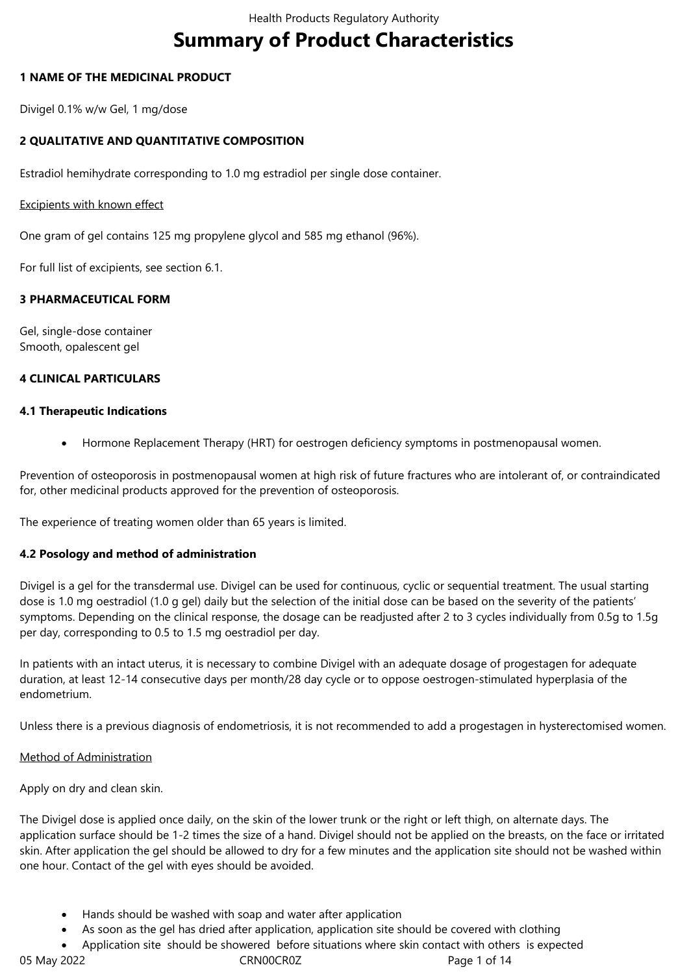# **Summary of Product Characteristics**

# **1 NAME OF THE MEDICINAL PRODUCT**

Divigel 0.1% w/w Gel, 1 mg/dose

# **2 QUALITATIVE AND QUANTITATIVE COMPOSITION**

Estradiol hemihydrate corresponding to 1.0 mg estradiol per single dose container.

### Excipients with known effect

One gram of gel contains 125 mg propylene glycol and 585 mg ethanol (96%).

For full list of excipients, see section 6.1.

# **3 PHARMACEUTICAL FORM**

Gel, single-dose container Smooth, opalescent gel

### **4 CLINICAL PARTICULARS**

### **4.1 Therapeutic Indications**

Hormone Replacement Therapy (HRT) for oestrogen deficiency symptoms in postmenopausal women.

Prevention of osteoporosis in postmenopausal women at high risk of future fractures who are intolerant of, or contraindicated for, other medicinal products approved for the prevention of osteoporosis.

The experience of treating women older than 65 years is limited.

### **4.2 Posology and method of administration**

Divigel is a gel for the transdermal use. Divigel can be used for continuous, cyclic or sequential treatment. The usual starting dose is 1.0 mg oestradiol (1.0 g gel) daily but the selection of the initial dose can be based on the severity of the patients' symptoms. Depending on the clinical response, the dosage can be readjusted after 2 to 3 cycles individually from 0.5g to 1.5g per day, corresponding to 0.5 to 1.5 mg oestradiol per day.

In patients with an intact uterus, it is necessary to combine Divigel with an adequate dosage of progestagen for adequate duration, at least 12-14 consecutive days per month/28 day cycle or to oppose oestrogen-stimulated hyperplasia of the endometrium.

Unless there is a previous diagnosis of endometriosis, it is not recommended to add a progestagen in hysterectomised women.

### Method of Administration

Apply on dry and clean skin.

The Divigel dose is applied once daily, on the skin of the lower trunk or the right or left thigh, on alternate days. The application surface should be 1-2 times the size of a hand. Divigel should not be applied on the breasts, on the face or irritated skin. After application the gel should be allowed to dry for a few minutes and the application site should not be washed within one hour. Contact of the gel with eyes should be avoided.

- Hands should be washed with soap and water after application
- As soon as the gel has dried after application, application site should be covered with clothing
- Application site should be showered before situations where skin contact with others is expected

05 May 2022 **CRNOOCROZ** CROOCROZ Page 1 of 14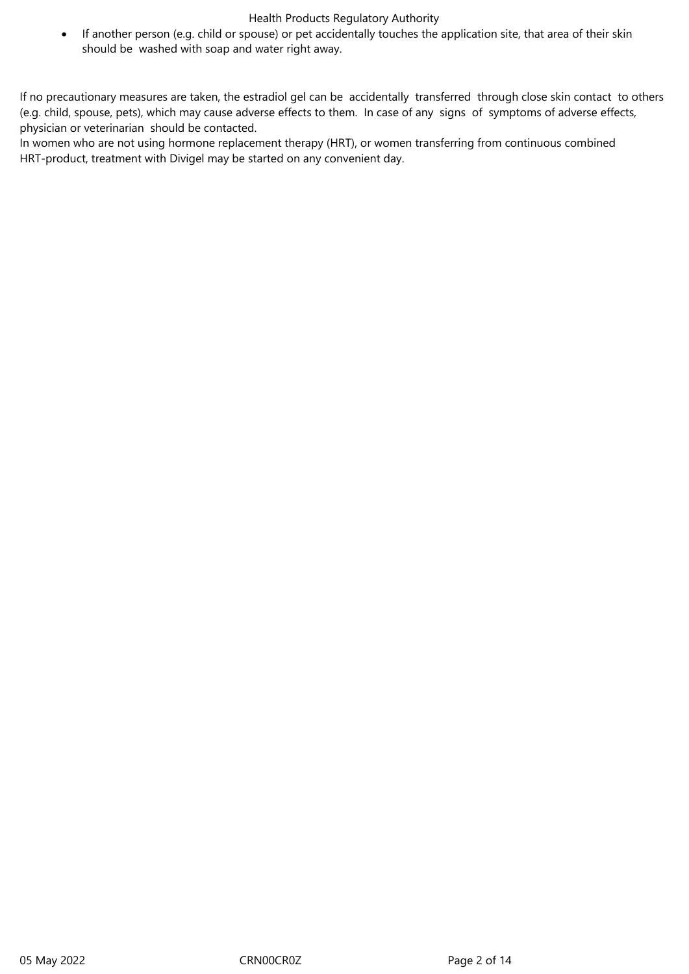If another person (e.g. child or spouse) or pet accidentally touches the application site, that area of their skin should be washed with soap and water right away.

If no precautionary measures are taken, the estradiol gel can be accidentally transferred through close skin contact to others (e.g. child, spouse, pets), which may cause adverse effects to them. In case of any signs of symptoms of adverse effects, physician or veterinarian should be contacted.

In women who are not using hormone replacement therapy (HRT), or women transferring from continuous combined HRT-product, treatment with Divigel may be started on any convenient day.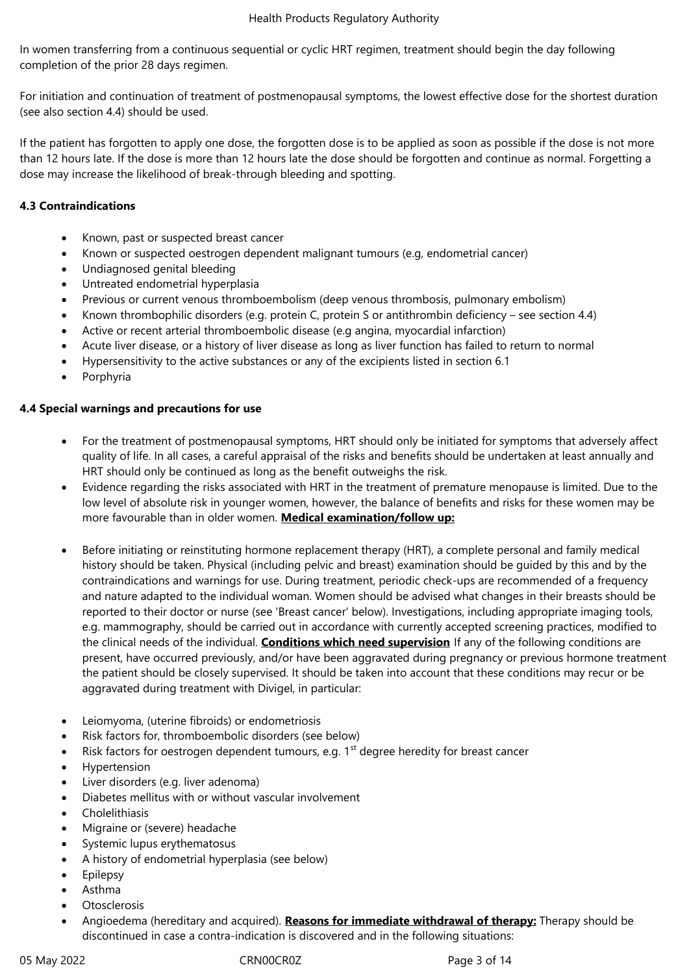In women transferring from a continuous sequential or cyclic HRT regimen, treatment should begin the day following completion of the prior 28 days regimen.

For initiation and continuation of treatment of postmenopausal symptoms, the lowest effective dose for the shortest duration (see also section 4.4) should be used.

If the patient has forgotten to apply one dose, the forgotten dose is to be applied as soon as possible if the dose is not more than 12 hours late. If the dose is more than 12 hours late the dose should be forgotten and continue as normal. Forgetting a dose may increase the likelihood of break-through bleeding and spotting.

# **4.3 Contraindications**

- Known, past or suspected breast cancer
- Known or suspected oestrogen dependent malignant tumours (e.g, endometrial cancer)
- Undiagnosed genital bleeding
- Untreated endometrial hyperplasia
- Previous or current venous thromboembolism (deep venous thrombosis, pulmonary embolism)
- Known thrombophilic disorders (e.g. protein C, protein S or antithrombin deficiency see section 4.4)
- Active or recent arterial thromboembolic disease (e.g angina, myocardial infarction)
- Acute liver disease, or a history of liver disease as long as liver function has failed to return to normal
- Hypersensitivity to the active substances or any of the excipients listed in section 6.1
- Porphyria

### **4.4 Special warnings and precautions for use**

- For the treatment of postmenopausal symptoms, HRT should only be initiated for symptoms that adversely affect quality of life. In all cases, a careful appraisal of the risks and benefits should be undertaken at least annually and HRT should only be continued as long as the benefit outweighs the risk.
- Evidence regarding the risks associated with HRT in the treatment of premature menopause is limited. Due to the low level of absolute risk in younger women, however, the balance of benefits and risks for these women may be more favourable than in older women. **Medical examination/follow up:**
- Before initiating or reinstituting hormone replacement therapy (HRT), a complete personal and family medical history should be taken. Physical (including pelvic and breast) examination should be guided by this and by the contraindications and warnings for use. During treatment, periodic check-ups are recommended of a frequency and nature adapted to the individual woman. Women should be advised what changes in their breasts should be reported to their doctor or nurse (see 'Breast cancer' below). Investigations, including appropriate imaging tools, e.g. mammography, should be carried out in accordance with currently accepted screening practices, modified to the clinical needs of the individual. **Conditions which need supervision** If any of the following conditions are present, have occurred previously, and/or have been aggravated during pregnancy or previous hormone treatment the patient should be closely supervised. It should be taken into account that these conditions may recur or be aggravated during treatment with Divigel, in particular:
- Leiomyoma, (uterine fibroids) or endometriosis
- Risk factors for, thromboembolic disorders (see below)
- Risk factors for oestrogen dependent tumours, e.g.  $1<sup>st</sup>$  degree heredity for breast cancer
- Hypertension
- Liver disorders (e.g. liver adenoma)
- Diabetes mellitus with or without vascular involvement
- Cholelithiasis
- Migraine or (severe) headache
- Systemic lupus erythematosus
- A history of endometrial hyperplasia (see below)
- Epilepsy
- Asthma
- **Otosclerosis**
- Angioedema (hereditary and acquired). **Reasons for immediate withdrawal of therapy:** Therapy should be discontinued in case a contra-indication is discovered and in the following situations: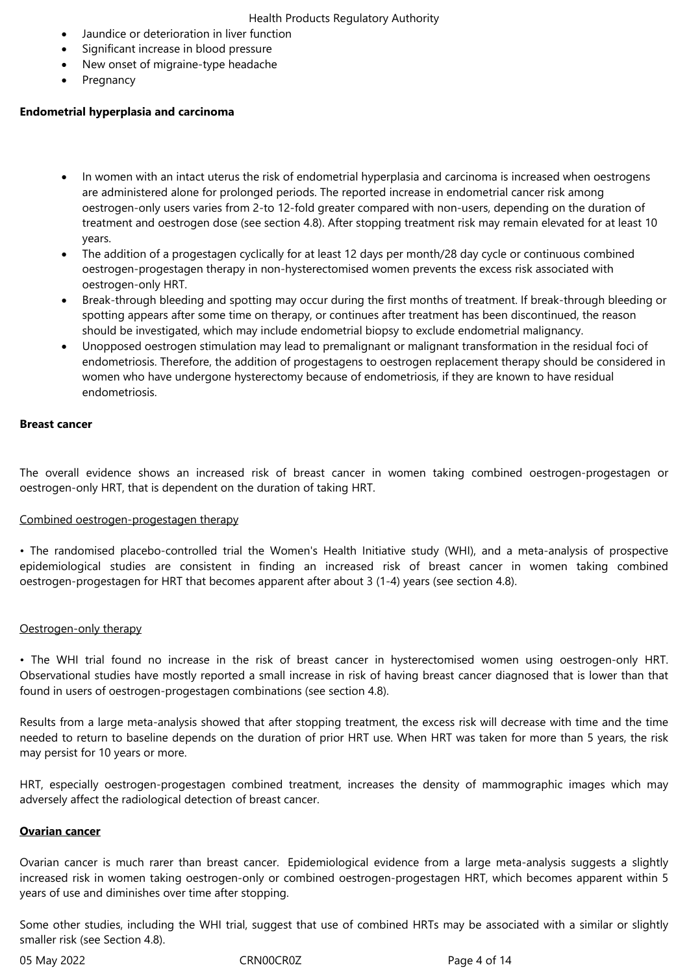- Jaundice or deterioration in liver function
- Significant increase in blood pressure
- New onset of migraine-type headache
- Pregnancy

### **Endometrial hyperplasia and carcinoma**

- In women with an intact uterus the risk of endometrial hyperplasia and carcinoma is increased when oestrogens are administered alone for prolonged periods. The reported increase in endometrial cancer risk among oestrogen-only users varies from 2-to 12-fold greater compared with non-users, depending on the duration of treatment and oestrogen dose (see section 4.8). After stopping treatment risk may remain elevated for at least 10 years.
- The addition of a progestagen cyclically for at least 12 days per month/28 day cycle or continuous combined oestrogen-progestagen therapy in non-hysterectomised women prevents the excess risk associated with oestrogen-only HRT.
- Break-through bleeding and spotting may occur during the first months of treatment. If break-through bleeding or spotting appears after some time on therapy, or continues after treatment has been discontinued, the reason should be investigated, which may include endometrial biopsy to exclude endometrial malignancy.
- Unopposed oestrogen stimulation may lead to premalignant or malignant transformation in the residual foci of endometriosis. Therefore, the addition of progestagens to oestrogen replacement therapy should be considered in women who have undergone hysterectomy because of endometriosis, if they are known to have residual endometriosis.

### **Breast cancer**

The overall evidence shows an increased risk of breast cancer in women taking combined oestrogen-progestagen or oestrogen-only HRT, that is dependent on the duration of taking HRT.

#### Combined oestrogen-progestagen therapy

• The randomised placebo-controlled trial the Women's Health Initiative study (WHI), and a meta-analysis of prospective epidemiological studies are consistent in finding an increased risk of breast cancer in women taking combined oestrogen-progestagen for HRT that becomes apparent after about 3 (1-4) years (see section 4.8).

#### Oestrogen-only therapy

• The WHI trial found no increase in the risk of breast cancer in hysterectomised women using oestrogen-only HRT. Observational studies have mostly reported a small increase in risk of having breast cancer diagnosed that is lower than that found in users of oestrogen-progestagen combinations (see section 4.8).

Results from a large meta-analysis showed that after stopping treatment, the excess risk will decrease with time and the time needed to return to baseline depends on the duration of prior HRT use. When HRT was taken for more than 5 years, the risk may persist for 10 years or more.

HRT, especially oestrogen-progestagen combined treatment, increases the density of mammographic images which may adversely affect the radiological detection of breast cancer.

### **Ovarian cancer**

Ovarian cancer is much rarer than breast cancer. Epidemiological evidence from a large meta-analysis suggests a slightly increased risk in women taking oestrogen-only or combined oestrogen-progestagen HRT, which becomes apparent within 5 years of use and diminishes over time after stopping.

Some other studies, including the WHI trial, suggest that use of combined HRTs may be associated with a similar or slightly smaller risk (see Section 4.8).

05 May 2022 CRN00CR0Z CRNOOCROZ Page 4 of 14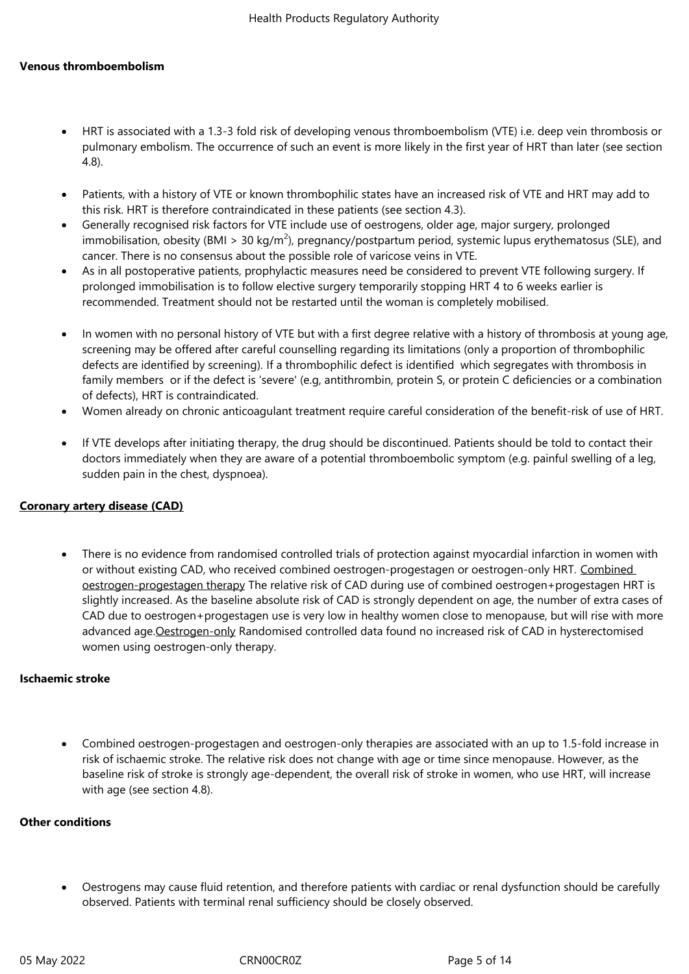### **Venous thromboembolism**

- HRT is associated with a 1.3-3 fold risk of developing venous thromboembolism (VTE) i.e. deep vein thrombosis or pulmonary embolism. The occurrence of such an event is more likely in the first year of HRT than later (see section 4.8).
- Patients, with a history of VTE or known thrombophilic states have an increased risk of VTE and HRT may add to this risk. HRT is therefore contraindicated in these patients (see section 4.3).
- Generally recognised risk factors for VTE include use of oestrogens, older age, major surgery, prolonged immobilisation, obesity (BMI > 30 kg/m<sup>2</sup>), pregnancy/postpartum period, systemic lupus erythematosus (SLE), and cancer. There is no consensus about the possible role of varicose veins in VTE.
- As in all postoperative patients, prophylactic measures need be considered to prevent VTE following surgery. If prolonged immobilisation is to follow elective surgery temporarily stopping HRT 4 to 6 weeks earlier is recommended. Treatment should not be restarted until the woman is completely mobilised.
- In women with no personal history of VTE but with a first degree relative with a history of thrombosis at young age, screening may be offered after careful counselling regarding its limitations (only a proportion of thrombophilic defects are identified by screening). If a thrombophilic defect is identified which segregates with thrombosis in family members or if the defect is 'severe' (e.g, antithrombin, protein S, or protein C deficiencies or a combination of defects), HRT is contraindicated.
- Women already on chronic anticoagulant treatment require careful consideration of the benefit-risk of use of HRT.
- If VTE develops after initiating therapy, the drug should be discontinued. Patients should be told to contact their doctors immediately when they are aware of a potential thromboembolic symptom (e.g. painful swelling of a leg, sudden pain in the chest, dyspnoea).

#### **Coronary artery disease (CAD)**

 There is no evidence from randomised controlled trials of protection against myocardial infarction in women with or without existing CAD, who received combined oestrogen-progestagen or oestrogen-only HRT. Combined oestrogen-progestagen therapy The relative risk of CAD during use of combined oestrogen+progestagen HRT is slightly increased. As the baseline absolute risk of CAD is strongly dependent on age, the number of extra cases of CAD due to oestrogen+progestagen use is very low in healthy women close to menopause, but will rise with more advanced age. Oestrogen-only Randomised controlled data found no increased risk of CAD in hysterectomised women using oestrogen-only therapy.

#### **Ischaemic stroke**

 Combined oestrogen-progestagen and oestrogen-only therapies are associated with an up to 1.5-fold increase in risk of ischaemic stroke. The relative risk does not change with age or time since menopause. However, as the baseline risk of stroke is strongly age-dependent, the overall risk of stroke in women, who use HRT, will increase with age (see section 4.8).

#### **Other conditions**

 Oestrogens may cause fluid retention, and therefore patients with cardiac or renal dysfunction should be carefully observed. Patients with terminal renal sufficiency should be closely observed.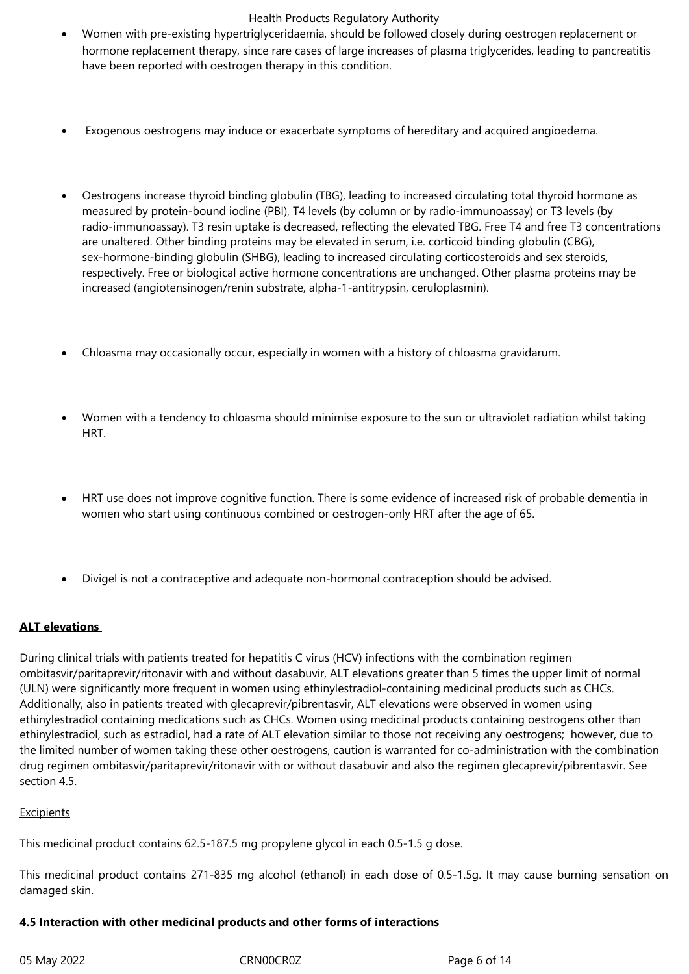- Women with pre-existing hypertriglyceridaemia, should be followed closely during oestrogen replacement or hormone replacement therapy, since rare cases of large increases of plasma triglycerides, leading to pancreatitis have been reported with oestrogen therapy in this condition.
- Exogenous oestrogens may induce or exacerbate symptoms of hereditary and acquired angioedema.
- Oestrogens increase thyroid binding globulin (TBG), leading to increased circulating total thyroid hormone as measured by protein-bound iodine (PBI), T4 levels (by column or by radio-immunoassay) or T3 levels (by radio-immunoassay). T3 resin uptake is decreased, reflecting the elevated TBG. Free T4 and free T3 concentrations are unaltered. Other binding proteins may be elevated in serum, i.e. corticoid binding globulin (CBG), sex-hormone-binding globulin (SHBG), leading to increased circulating corticosteroids and sex steroids, respectively. Free or biological active hormone concentrations are unchanged. Other plasma proteins may be increased (angiotensinogen/renin substrate, alpha-1-antitrypsin, ceruloplasmin).
- Chloasma may occasionally occur, especially in women with a history of chloasma gravidarum.
- Women with a tendency to chloasma should minimise exposure to the sun or ultraviolet radiation whilst taking HRT.
- HRT use does not improve cognitive function. There is some evidence of increased risk of probable dementia in women who start using continuous combined or oestrogen-only HRT after the age of 65.
- Divigel is not a contraceptive and adequate non-hormonal contraception should be advised.

# **ALT elevations**

During clinical trials with patients treated for hepatitis C virus (HCV) infections with the combination regimen ombitasvir/paritaprevir/ritonavir with and without dasabuvir, ALT elevations greater than 5 times the upper limit of normal (ULN) were significantly more frequent in women using ethinylestradiol-containing medicinal products such as CHCs. Additionally, also in patients treated with glecaprevir/pibrentasvir, ALT elevations were observed in women using ethinylestradiol containing medications such as CHCs. Women using medicinal products containing oestrogens other than ethinylestradiol, such as estradiol, had a rate of ALT elevation similar to those not receiving any oestrogens; however, due to the limited number of women taking these other oestrogens, caution is warranted for co-administration with the combination drug regimen ombitasvir/paritaprevir/ritonavir with or without dasabuvir and also the regimen glecaprevir/pibrentasvir. See section 4.5.

### Excipients

This medicinal product contains 62.5-187.5 mg propylene glycol in each 0.5-1.5 g dose.

This medicinal product contains 271-835 mg alcohol (ethanol) in each dose of 0.5-1.5g. It may cause burning sensation on damaged skin.

### **4.5 Interaction with other medicinal products and other forms of interactions**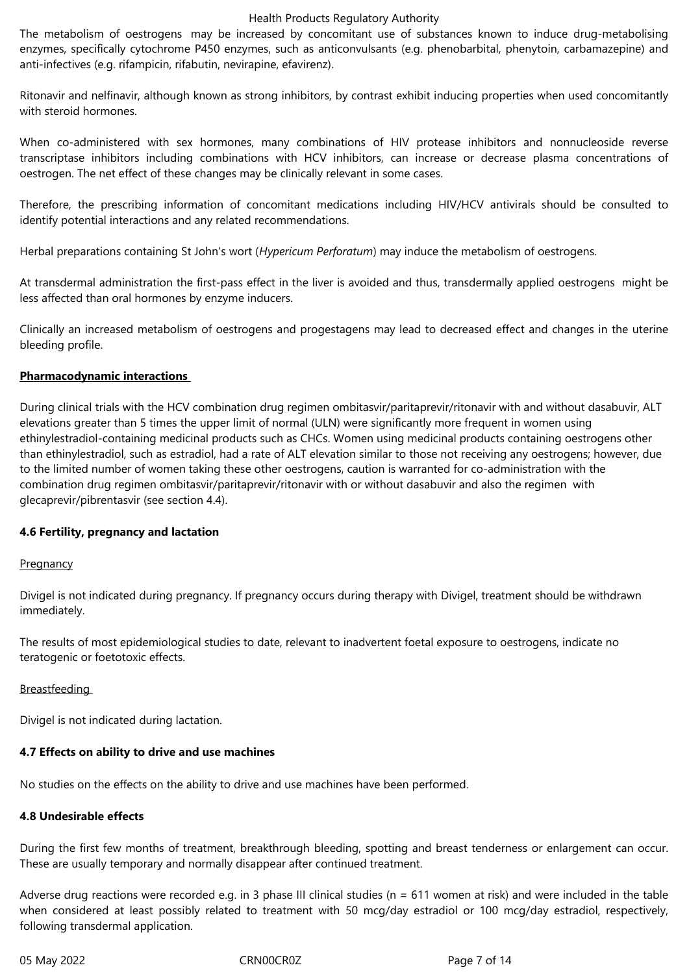The metabolism of oestrogens may be increased by concomitant use of substances known to induce drug-metabolising enzymes, specifically cytochrome P450 enzymes, such as anticonvulsants (e.g. phenobarbital, phenytoin, carbamazepine) and anti-infectives (e.g. rifampicin, rifabutin, nevirapine, efavirenz).

Ritonavir and nelfinavir, although known as strong inhibitors, by contrast exhibit inducing properties when used concomitantly with steroid hormones.

When co-administered with sex hormones, many combinations of HIV protease inhibitors and nonnucleoside reverse transcriptase inhibitors including combinations with HCV inhibitors, can increase or decrease plasma concentrations of oestrogen. The net effect of these changes may be clinically relevant in some cases.

Therefore, the prescribing information of concomitant medications including HIV/HCV antivirals should be consulted to identify potential interactions and any related recommendations.

Herbal preparations containing St John's wort (*Hypericum Perforatum*) may induce the metabolism of oestrogens.

At transdermal administration the first-pass effect in the liver is avoided and thus, transdermally applied oestrogens might be less affected than oral hormones by enzyme inducers.

Clinically an increased metabolism of oestrogens and progestagens may lead to decreased effect and changes in the uterine bleeding profile.

# **Pharmacodynamic interactions**

During clinical trials with the HCV combination drug regimen ombitasvir/paritaprevir/ritonavir with and without dasabuvir, ALT elevations greater than 5 times the upper limit of normal (ULN) were significantly more frequent in women using ethinylestradiol-containing medicinal products such as CHCs. Women using medicinal products containing oestrogens other than ethinylestradiol, such as estradiol, had a rate of ALT elevation similar to those not receiving any oestrogens; however, due to the limited number of women taking these other oestrogens, caution is warranted for co-administration with the combination drug regimen ombitasvir/paritaprevir/ritonavir with or without dasabuvir and also the regimen with glecaprevir/pibrentasvir (see section 4.4).

### **4.6 Fertility, pregnancy and lactation**

### **Pregnancy**

Divigel is not indicated during pregnancy. If pregnancy occurs during therapy with Divigel, treatment should be withdrawn immediately.

The results of most epidemiological studies to date, relevant to inadvertent foetal exposure to oestrogens, indicate no teratogenic or foetotoxic effects.

### **Breastfeeding**

Divigel is not indicated during lactation.

### **4.7 Effects on ability to drive and use machines**

No studies on the effects on the ability to drive and use machines have been performed.

### **4.8 Undesirable effects**

During the first few months of treatment, breakthrough bleeding, spotting and breast tenderness or enlargement can occur. These are usually temporary and normally disappear after continued treatment.

Adverse drug reactions were recorded e.g. in 3 phase III clinical studies ( $n = 611$  women at risk) and were included in the table when considered at least possibly related to treatment with 50 mcg/day estradiol or 100 mcg/day estradiol, respectively, following transdermal application.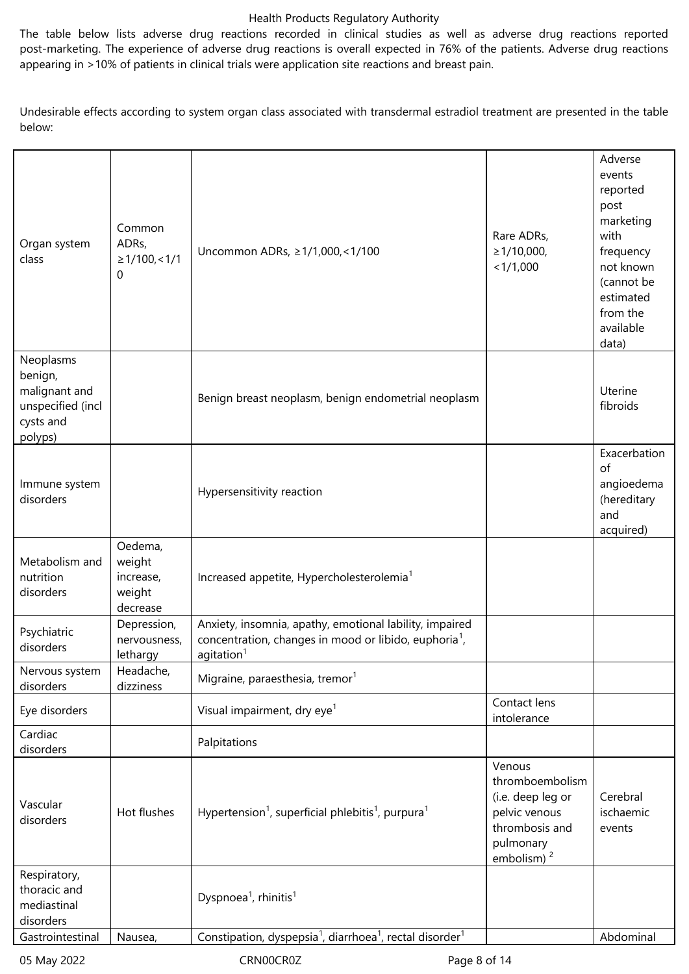The table below lists adverse drug reactions recorded in clinical studies as well as adverse drug reactions reported post-marketing. The experience of adverse drug reactions is overall expected in 76% of the patients. Adverse drug reactions appearing in >10% of patients in clinical trials were application site reactions and breast pain.

Undesirable effects according to system organ class associated with transdermal estradiol treatment are presented in the table below:

| Organ system<br>class                                                              | Common<br>ADRs,<br>$\geq$ 1/100, < 1/1<br>0          | Uncommon ADRs, ≥1/1,000,<1/100                                                                                                                         | Rare ADRs,<br>$\geq 1/10,000,$<br>< 1/1,000                                                                              | Adverse<br>events<br>reported<br>post<br>marketing<br>with<br>frequency<br>not known<br>(cannot be<br>estimated<br>from the<br>available<br>data) |
|------------------------------------------------------------------------------------|------------------------------------------------------|--------------------------------------------------------------------------------------------------------------------------------------------------------|--------------------------------------------------------------------------------------------------------------------------|---------------------------------------------------------------------------------------------------------------------------------------------------|
| Neoplasms<br>benign,<br>malignant and<br>unspecified (incl<br>cysts and<br>polyps) |                                                      | Benign breast neoplasm, benign endometrial neoplasm                                                                                                    |                                                                                                                          | Uterine<br>fibroids                                                                                                                               |
| Immune system<br>disorders                                                         |                                                      | Hypersensitivity reaction                                                                                                                              |                                                                                                                          | Exacerbation<br>of<br>angioedema<br>(hereditary<br>and<br>acquired)                                                                               |
| Metabolism and<br>nutrition<br>disorders                                           | Oedema,<br>weight<br>increase,<br>weight<br>decrease | Increased appetite, Hypercholesterolemia <sup>1</sup>                                                                                                  |                                                                                                                          |                                                                                                                                                   |
| Psychiatric<br>disorders                                                           | Depression,<br>nervousness,<br>lethargy              | Anxiety, insomnia, apathy, emotional lability, impaired<br>concentration, changes in mood or libido, euphoria <sup>1</sup> ,<br>agitation <sup>1</sup> |                                                                                                                          |                                                                                                                                                   |
| Nervous system<br>disorders                                                        | Headache,<br>dizziness                               | Migraine, paraesthesia, tremor <sup>1</sup>                                                                                                            |                                                                                                                          |                                                                                                                                                   |
| Eye disorders                                                                      |                                                      | Visual impairment, dry eye <sup>1</sup>                                                                                                                | Contact lens<br>intolerance                                                                                              |                                                                                                                                                   |
| Cardiac<br>disorders                                                               |                                                      | Palpitations                                                                                                                                           |                                                                                                                          |                                                                                                                                                   |
| Vascular<br>disorders                                                              | Hot flushes                                          | Hypertension <sup>1</sup> , superficial phlebitis <sup>1</sup> , purpura <sup>1</sup>                                                                  | Venous<br>thromboembolism<br>(i.e. deep leg or<br>pelvic venous<br>thrombosis and<br>pulmonary<br>embolism) <sup>2</sup> | Cerebral<br>ischaemic<br>events                                                                                                                   |
| Respiratory,<br>thoracic and<br>mediastinal<br>disorders                           |                                                      | Dyspnoea <sup>1</sup> , rhinitis <sup>1</sup>                                                                                                          |                                                                                                                          |                                                                                                                                                   |
| Gastrointestinal                                                                   | Nausea,                                              | Constipation, dyspepsia <sup>1</sup> , diarrhoea <sup>1</sup> , rectal disorder <sup>1</sup>                                                           |                                                                                                                          | Abdominal                                                                                                                                         |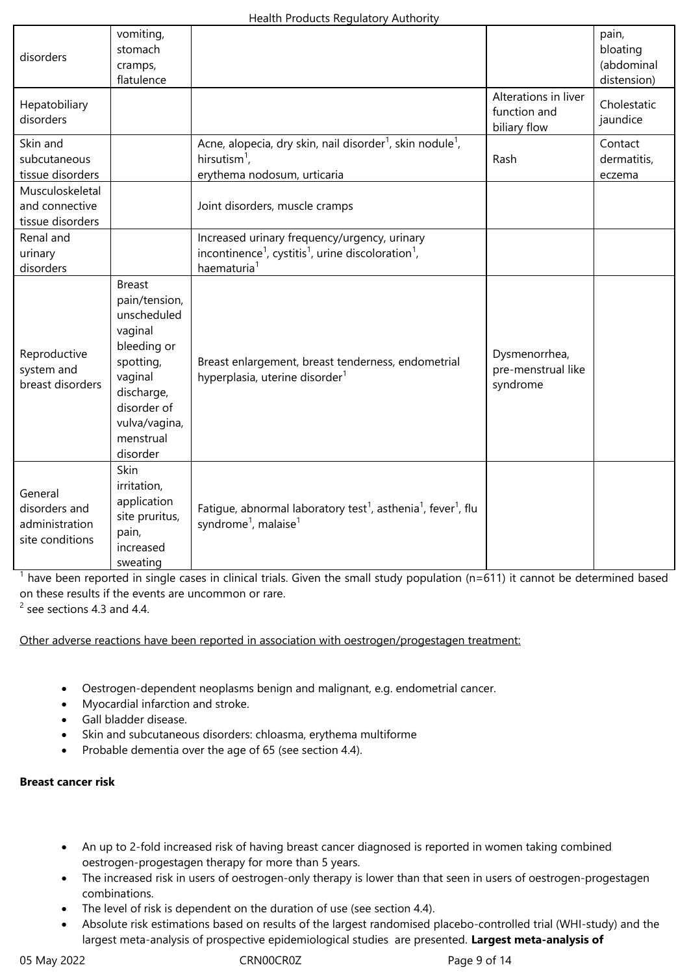| disorders                                                     | vomiting,<br>stomach<br>cramps,<br>flatulence                                                                                                                          |                                                                                                                                                                   |                                                      | pain,<br>bloating<br>(abdominal<br>distension) |
|---------------------------------------------------------------|------------------------------------------------------------------------------------------------------------------------------------------------------------------------|-------------------------------------------------------------------------------------------------------------------------------------------------------------------|------------------------------------------------------|------------------------------------------------|
| Hepatobiliary<br>disorders                                    |                                                                                                                                                                        |                                                                                                                                                                   | Alterations in liver<br>function and<br>biliary flow | Cholestatic<br>jaundice                        |
| Skin and<br>subcutaneous<br>tissue disorders                  |                                                                                                                                                                        | Acne, alopecia, dry skin, nail disorder <sup>1</sup> , skin nodule <sup>1</sup> ,<br>hirsutism <sup>1</sup> ,<br>erythema nodosum, urticaria                      | Rash                                                 | Contact<br>dermatitis,<br>eczema               |
| Musculoskeletal<br>and connective<br>tissue disorders         |                                                                                                                                                                        | Joint disorders, muscle cramps                                                                                                                                    |                                                      |                                                |
| Renal and<br>urinary<br>disorders                             |                                                                                                                                                                        | Increased urinary frequency/urgency, urinary<br>incontinence <sup>1</sup> , cystitis <sup>1</sup> , urine discoloration <sup>1</sup> ,<br>haematuria <sup>1</sup> |                                                      |                                                |
| Reproductive<br>system and<br>breast disorders                | <b>Breast</b><br>pain/tension,<br>unscheduled<br>vaginal<br>bleeding or<br>spotting,<br>vaginal<br>discharge,<br>disorder of<br>vulva/vagina,<br>menstrual<br>disorder | Breast enlargement, breast tenderness, endometrial<br>hyperplasia, uterine disorder <sup>1</sup>                                                                  | Dysmenorrhea,<br>pre-menstrual like<br>syndrome      |                                                |
| General<br>disorders and<br>administration<br>site conditions | Skin<br>irritation,<br>application<br>site pruritus,<br>pain,<br>increased<br>sweating                                                                                 | Fatigue, abnormal laboratory test <sup>1</sup> , asthenia <sup>1</sup> , fever <sup>1</sup> , flu<br>syndrome <sup>1</sup> , malaise <sup>1</sup>                 |                                                      |                                                |

 $1$  have been reported in single cases in clinical trials. Given the small study population (n=611) it cannot be determined based on these results if the events are uncommon or rare.

 $2$  see sections 4.3 and 4.4.

Other adverse reactions have been reported in association with oestrogen/progestagen treatment:

- Oestrogen-dependent neoplasms benign and malignant, e.g. endometrial cancer.
- Myocardial infarction and stroke.
- Gall bladder disease.
- Skin and subcutaneous disorders: chloasma, erythema multiforme
- Probable dementia over the age of 65 (see section 4.4).

### **Breast cancer risk**

- An up to 2-fold increased risk of having breast cancer diagnosed is reported in women taking combined oestrogen-progestagen therapy for more than 5 years.
- The increased risk in users of oestrogen-only therapy is lower than that seen in users of oestrogen-progestagen combinations.
- The level of risk is dependent on the duration of use (see section 4.4).
- Absolute risk estimations based on results of the largest randomised placebo-controlled trial (WHI-study) and the largest meta-analysis of prospective epidemiological studies are presented. **Largest meta-analysis of**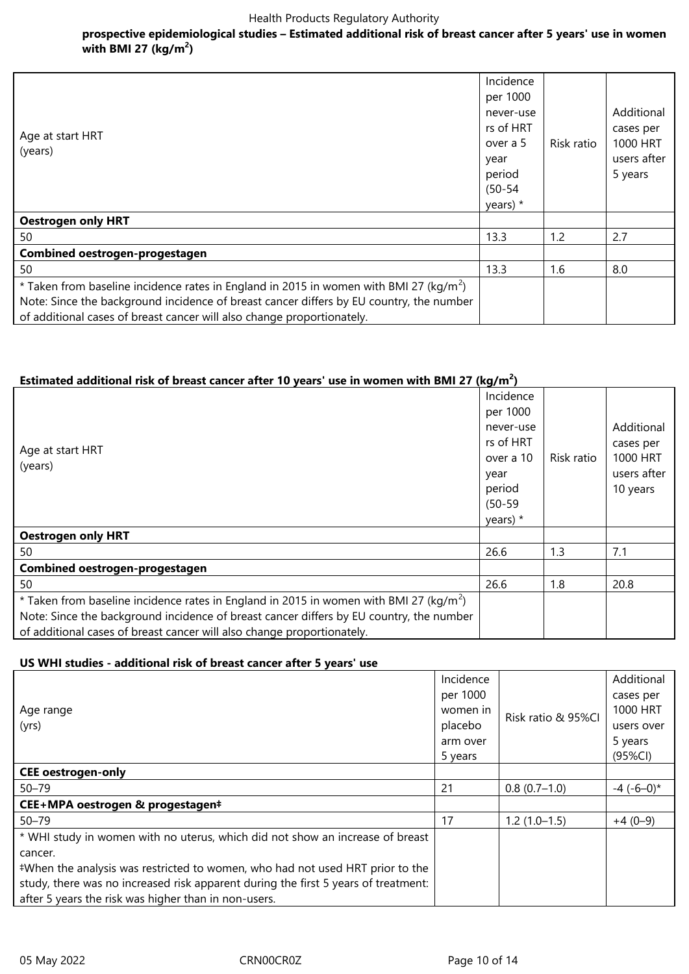# **prospective epidemiological studies – Estimated additional risk of breast cancer after 5 years' use in women with BMI 27 (kg/m<sup>2</sup> )**

| Age at start HRT<br>(years)                                                                                                                                                                                                                                             | Incidence<br>per 1000<br>never-use<br>rs of HRT<br>over a 5<br>year<br>period<br>$(50 - 54)$<br>years) * | Risk ratio | Additional<br>cases per<br>1000 HRT<br>users after<br>5 years |
|-------------------------------------------------------------------------------------------------------------------------------------------------------------------------------------------------------------------------------------------------------------------------|----------------------------------------------------------------------------------------------------------|------------|---------------------------------------------------------------|
| <b>Oestrogen only HRT</b>                                                                                                                                                                                                                                               |                                                                                                          |            |                                                               |
| 50                                                                                                                                                                                                                                                                      | 13.3                                                                                                     | 1.2        | 2.7                                                           |
| Combined oestrogen-progestagen                                                                                                                                                                                                                                          |                                                                                                          |            |                                                               |
| 50                                                                                                                                                                                                                                                                      | 13.3                                                                                                     | 1.6        | 8.0                                                           |
| * Taken from baseline incidence rates in England in 2015 in women with BMI 27 (kg/m <sup>2</sup> )<br>Note: Since the background incidence of breast cancer differs by EU country, the number<br>of additional cases of breast cancer will also change proportionately. |                                                                                                          |            |                                                               |

# **Estimated additional risk of breast cancer after 10 years' use in women with BMI 27 (kg/m<sup>2</sup> )**

| Age at start HRT<br>(years)                                                                                                                                                                                                                                             | Incidence<br>per 1000<br>never-use<br>rs of HRT<br>over a 10<br>year<br>period<br>$(50 - 59)$<br>years) $*$ | Risk ratio | Additional<br>cases per<br>1000 HRT<br>users after<br>10 years |
|-------------------------------------------------------------------------------------------------------------------------------------------------------------------------------------------------------------------------------------------------------------------------|-------------------------------------------------------------------------------------------------------------|------------|----------------------------------------------------------------|
| <b>Oestrogen only HRT</b>                                                                                                                                                                                                                                               |                                                                                                             |            |                                                                |
| 50                                                                                                                                                                                                                                                                      | 26.6                                                                                                        | 1.3        | 7.1                                                            |
| Combined oestrogen-progestagen                                                                                                                                                                                                                                          |                                                                                                             |            |                                                                |
| 50                                                                                                                                                                                                                                                                      | 26.6                                                                                                        | 1.8        | 20.8                                                           |
| * Taken from baseline incidence rates in England in 2015 in women with BMI 27 (kg/m <sup>2</sup> )<br>Note: Since the background incidence of breast cancer differs by EU country, the number<br>of additional cases of breast cancer will also change proportionately. |                                                                                                             |            |                                                                |

### **US WHI studies - additional risk of breast cancer after 5 years' use**

| Age range<br>(yrs)                                                                 |          |                    | Additional       |
|------------------------------------------------------------------------------------|----------|--------------------|------------------|
|                                                                                    |          | Risk ratio & 95%Cl | cases per        |
|                                                                                    |          |                    | 1000 HRT         |
|                                                                                    |          |                    | users over       |
|                                                                                    | arm over |                    | 5 years          |
|                                                                                    | 5 years  |                    | $(95\%CI)$       |
| <b>CEE</b> oestrogen-only                                                          |          |                    |                  |
| $50 - 79$                                                                          | 21       | $0.8(0.7-1.0)$     | $-4$ ( $-6-0$ )* |
| CEE+MPA oestrogen & progestagen#                                                   |          |                    |                  |
| $50 - 79$                                                                          | 17       | $1.2(1.0-1.5)$     | $+4(0-9)$        |
| * WHI study in women with no uterus, which did not show an increase of breast      |          |                    |                  |
| cancer.                                                                            |          |                    |                  |
| #When the analysis was restricted to women, who had not used HRT prior to the      |          |                    |                  |
| study, there was no increased risk apparent during the first 5 years of treatment: |          |                    |                  |
| after 5 years the risk was higher than in non-users.                               |          |                    |                  |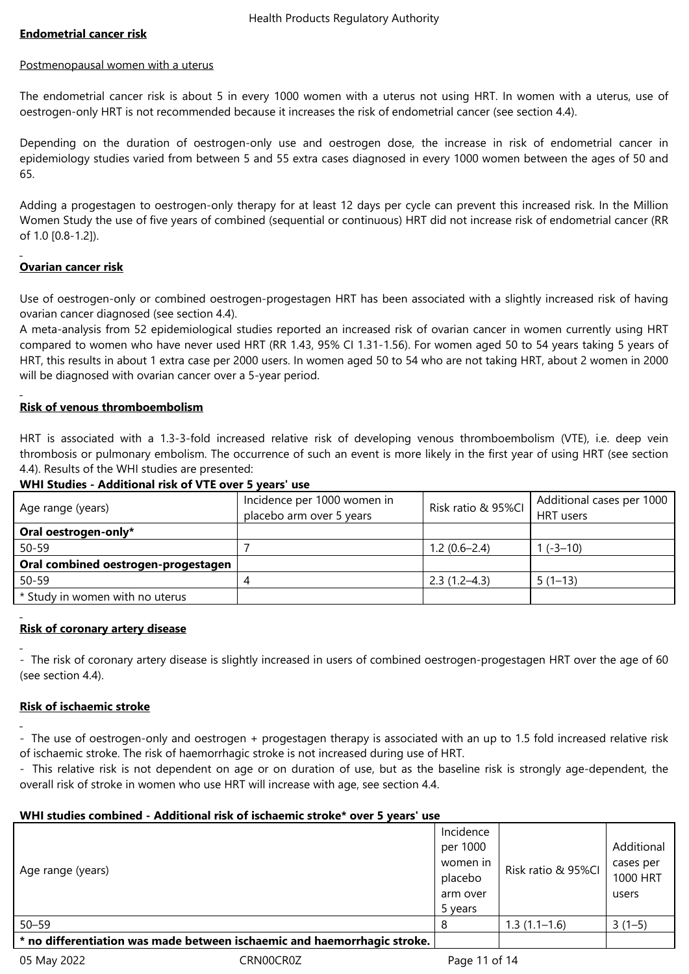# **Endometrial cancer risk**

#### Postmenopausal women with a uterus

The endometrial cancer risk is about 5 in every 1000 women with a uterus not using HRT. In women with a uterus, use of oestrogen-only HRT is not recommended because it increases the risk of endometrial cancer (see section 4.4).

Depending on the duration of oestrogen-only use and oestrogen dose, the increase in risk of endometrial cancer in epidemiology studies varied from between 5 and 55 extra cases diagnosed in every 1000 women between the ages of 50 and 65.

Adding a progestagen to oestrogen-only therapy for at least 12 days per cycle can prevent this increased risk. In the Million Women Study the use of five years of combined (sequential or continuous) HRT did not increase risk of endometrial cancer (RR of 1.0 [0.8-1.2]).

# **Ovarian cancer risk**

Use of oestrogen-only or combined oestrogen-progestagen HRT has been associated with a slightly increased risk of having ovarian cancer diagnosed (see section 4.4).

A meta-analysis from 52 epidemiological studies reported an increased risk of ovarian cancer in women currently using HRT compared to women who have never used HRT (RR 1.43, 95% CI 1.31-1.56). For women aged 50 to 54 years taking 5 years of HRT, this results in about 1 extra case per 2000 users. In women aged 50 to 54 who are not taking HRT, about 2 women in 2000 will be diagnosed with ovarian cancer over a 5-year period.

### **Risk of venous thromboembolism**

HRT is associated with a 1.3-3-fold increased relative risk of developing venous thromboembolism (VTE), i.e. deep vein thrombosis or pulmonary embolism. The occurrence of such an event is more likely in the first year of using HRT (see section 4.4). Results of the WHI studies are presented:

### **WHI Studies - Additional risk of VTE over 5 years' use**

| Incidence per 1000 women in         |                  | Additional cases per 1000 |
|-------------------------------------|------------------|---------------------------|
| placebo arm over 5 years            |                  | HRT users                 |
|                                     |                  |                           |
|                                     | $1.2(0.6-2.4)$   | $1(-3-10)$                |
|                                     |                  |                           |
|                                     | $2.3(1.2 - 4.3)$ | $5(1-13)$                 |
|                                     |                  |                           |
| Oral combined oestrogen-progestagen |                  | Risk ratio & 95%CI        |

### **Risk of coronary artery disease**

- The risk of coronary artery disease is slightly increased in users of combined oestrogen-progestagen HRT over the age of 60 (see section 4.4).

### **Risk of ischaemic stroke**

- The use of oestrogen-only and oestrogen + progestagen therapy is associated with an up to 1.5 fold increased relative risk of ischaemic stroke. The risk of haemorrhagic stroke is not increased during use of HRT.

- This relative risk is not dependent on age or on duration of use, but as the baseline risk is strongly age-dependent, the overall risk of stroke in women who use HRT will increase with age, see section 4.4.

### **WHI studies combined - Additional risk of ischaemic stroke\* over 5 years' use**

|                                                                          | Incidence |                    |            |
|--------------------------------------------------------------------------|-----------|--------------------|------------|
|                                                                          | per 1000  |                    | Additional |
|                                                                          | women in  | Risk ratio & 95%Cl | cases per  |
| Age range (years)                                                        | placebo   |                    | 1000 HRT   |
|                                                                          | arm over  |                    | users      |
|                                                                          | 5 years   |                    |            |
| $50 - 59$                                                                |           | $1.3(1.1-1.6)$     | $3(1-5)$   |
| * no differentiation was made between ischaemic and haemorrhagic stroke. |           |                    |            |
|                                                                          |           |                    |            |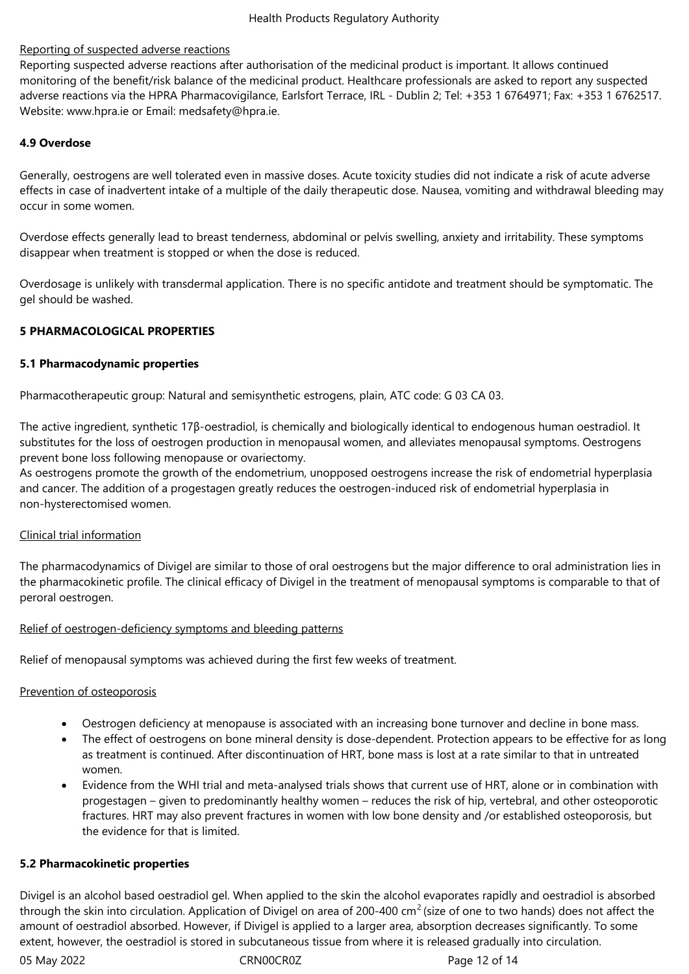# Reporting of suspected adverse reactions

Reporting suspected adverse reactions after authorisation of the medicinal product is important. It allows continued monitoring of the benefit/risk balance of the medicinal product. Healthcare professionals are asked to report any suspected adverse reactions via the HPRA Pharmacovigilance, Earlsfort Terrace, IRL - Dublin 2; Tel: +353 1 6764971; Fax: +353 1 6762517. Website: www.hpra.ie or Email: medsafety@hpra.ie.

# **4.9 Overdose**

Generally, oestrogens are well tolerated even in massive doses. Acute toxicity studies did not indicate a risk of acute adverse effects in case of inadvertent intake of a multiple of the daily therapeutic dose. Nausea, vomiting and withdrawal bleeding may occur in some women.

Overdose effects generally lead to breast tenderness, abdominal or pelvis swelling, anxiety and irritability. These symptoms disappear when treatment is stopped or when the dose is reduced.

Overdosage is unlikely with transdermal application. There is no specific antidote and treatment should be symptomatic. The gel should be washed.

# **5 PHARMACOLOGICAL PROPERTIES**

# **5.1 Pharmacodynamic properties**

Pharmacotherapeutic group: Natural and semisynthetic estrogens, plain, ATC code: G 03 CA 03.

The active ingredient, synthetic 17β-oestradiol, is chemically and biologically identical to endogenous human oestradiol. It substitutes for the loss of oestrogen production in menopausal women, and alleviates menopausal symptoms. Oestrogens prevent bone loss following menopause or ovariectomy.

As oestrogens promote the growth of the endometrium, unopposed oestrogens increase the risk of endometrial hyperplasia and cancer. The addition of a progestagen greatly reduces the oestrogen-induced risk of endometrial hyperplasia in non-hysterectomised women.

# Clinical trial information

The pharmacodynamics of Divigel are similar to those of oral oestrogens but the major difference to oral administration lies in the pharmacokinetic profile. The clinical efficacy of Divigel in the treatment of menopausal symptoms is comparable to that of peroral oestrogen.

# Relief of oestrogen-deficiency symptoms and bleeding patterns

Relief of menopausal symptoms was achieved during the first few weeks of treatment.

# Prevention of osteoporosis

- Oestrogen deficiency at menopause is associated with an increasing bone turnover and decline in bone mass.
- The effect of oestrogens on bone mineral density is dose-dependent. Protection appears to be effective for as long as treatment is continued. After discontinuation of HRT, bone mass is lost at a rate similar to that in untreated women.
- Evidence from the WHI trial and meta-analysed trials shows that current use of HRT, alone or in combination with progestagen – given to predominantly healthy women – reduces the risk of hip, vertebral, and other osteoporotic fractures. HRT may also prevent fractures in women with low bone density and /or established osteoporosis, but the evidence for that is limited.

### **5.2 Pharmacokinetic properties**

Divigel is an alcohol based oestradiol gel. When applied to the skin the alcohol evaporates rapidly and oestradiol is absorbed through the skin into circulation. Application of Divigel on area of 200-400  $cm<sup>2</sup>$  (size of one to two hands) does not affect the amount of oestradiol absorbed. However, if Divigel is applied to a larger area, absorption decreases significantly. To some extent, however, the oestradiol is stored in subcutaneous tissue from where it is released gradually into circulation.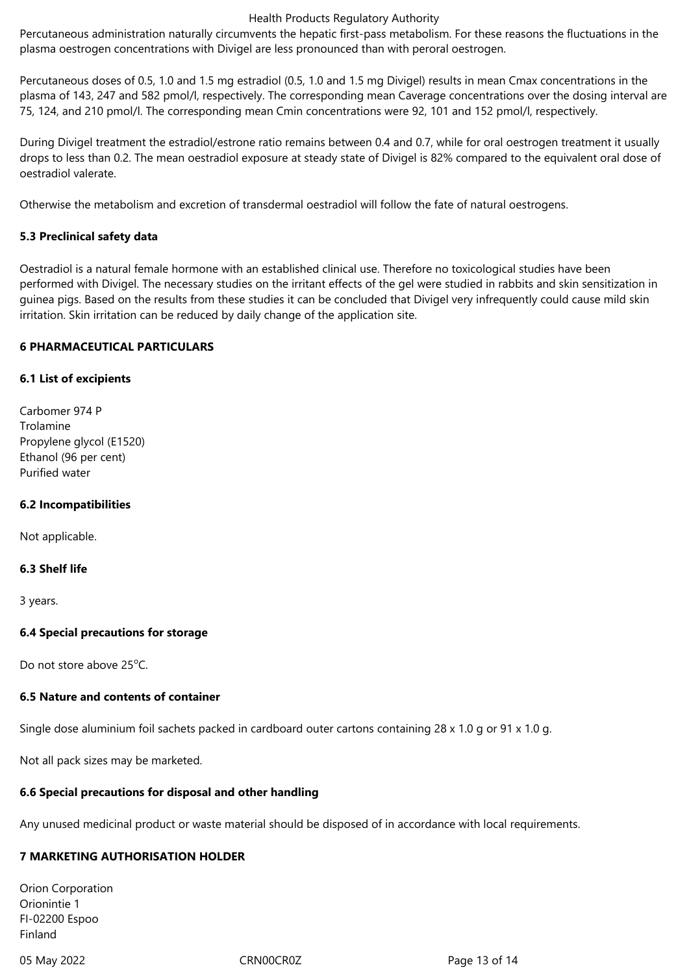Percutaneous administration naturally circumvents the hepatic first-pass metabolism. For these reasons the fluctuations in the plasma oestrogen concentrations with Divigel are less pronounced than with peroral oestrogen.

Percutaneous doses of 0.5, 1.0 and 1.5 mg estradiol (0.5, 1.0 and 1.5 mg Divigel) results in mean Cmax concentrations in the plasma of 143, 247 and 582 pmol/l, respectively. The corresponding mean Caverage concentrations over the dosing interval are 75, 124, and 210 pmol/l. The corresponding mean Cmin concentrations were 92, 101 and 152 pmol/l, respectively.

During Divigel treatment the estradiol/estrone ratio remains between 0.4 and 0.7, while for oral oestrogen treatment it usually drops to less than 0.2. The mean oestradiol exposure at steady state of Divigel is 82% compared to the equivalent oral dose of oestradiol valerate.

Otherwise the metabolism and excretion of transdermal oestradiol will follow the fate of natural oestrogens.

# **5.3 Preclinical safety data**

Oestradiol is a natural female hormone with an established clinical use. Therefore no toxicological studies have been performed with Divigel. The necessary studies on the irritant effects of the gel were studied in rabbits and skin sensitization in guinea pigs. Based on the results from these studies it can be concluded that Divigel very infrequently could cause mild skin irritation. Skin irritation can be reduced by daily change of the application site.

### **6 PHARMACEUTICAL PARTICULARS**

### **6.1 List of excipients**

Carbomer 974 P Trolamine Propylene glycol (E1520) Ethanol (96 per cent) Purified water

### **6.2 Incompatibilities**

Not applicable.

### **6.3 Shelf life**

3 years.

### **6.4 Special precautions for storage**

Do not store above 25<sup>o</sup>C.

### **6.5 Nature and contents of container**

Single dose aluminium foil sachets packed in cardboard outer cartons containing 28 x 1.0 g or 91 x 1.0 g.

Not all pack sizes may be marketed.

### **6.6 Special precautions for disposal and other handling**

Any unused medicinal product or waste material should be disposed of in accordance with local requirements.

### **7 MARKETING AUTHORISATION HOLDER**

Orion Corporation Orionintie 1 FI-02200 Espoo Finland

05 May 2022 **CRNOOCROL CRNOOCROL** Page 13 of 14